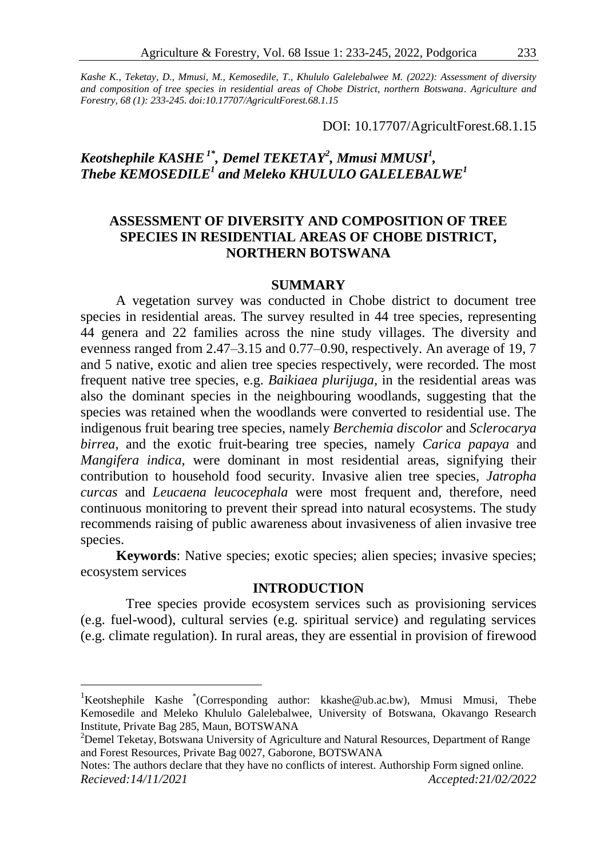*Kashe K., Teketay, D., Mmusi, M., Kemosedile, T., Khululo Galelebalwee M. (2022): Assessment of diversity and composition of tree species in residential areas of Chobe District, northern Botswana. Agriculture and Forestry, 68 (1): 233-245. doi:10.17707/AgricultForest.68.1.15*

DOI: 10.17707/AgricultForest.68.1.15

# *Keotshephile KASHE1\* , Demel TEKETAY<sup>2</sup> , Mmusi MMUSI<sup>1</sup> , Thebe KEMOSEDILE<sup>1</sup> and Meleko KHULULO GALELEBALWE<sup>1</sup>*

# **ASSESSMENT OF DIVERSITY AND COMPOSITION OF TREE SPECIES IN RESIDENTIAL AREAS OF CHOBE DISTRICT, NORTHERN BOTSWANA**

### **SUMMARY**

A vegetation survey was conducted in Chobe district to document tree species in residential areas. The survey resulted in 44 tree species, representing 44 genera and 22 families across the nine study villages. The diversity and evenness ranged from 2.47–3.15 and 0.77–0.90, respectively. An average of 19, 7 and 5 native, exotic and alien tree species respectively, were recorded. The most frequent native tree species, e.g. *Baikiaea plurijuga,* in the residential areas was also the dominant species in the neighbouring woodlands, suggesting that the species was retained when the woodlands were converted to residential use. The indigenous fruit bearing tree species, namely *Berchemia discolor* and *Sclerocarya birrea*, and the exotic fruit-bearing tree species, namely *Carica papaya* and *Mangifera indica,* were dominant in most residential areas, signifying their contribution to household food security. Invasive alien tree species, *Jatropha curcas* and *Leucaena leucocephala* were most frequent and, therefore, need continuous monitoring to prevent their spread into natural ecosystems. The study recommends raising of public awareness about invasiveness of alien invasive tree species.

**Keywords**: Native species; exotic species; alien species; invasive species; ecosystem services

# **INTRODUCTION**

Tree species provide ecosystem services such as provisioning services (e.g. fuel-wood), cultural servies (e.g. spiritual service) and regulating services (e.g. climate regulation). In rural areas, they are essential in provision of firewood

 $\overline{a}$ 

<sup>&</sup>lt;sup>1</sup>Keotshephile Kashe \*(Corresponding author: kkashe@ub.ac.bw), Mmusi Mmusi, Thebe Kemosedile and Meleko Khululo Galelebalwee, University of Botswana, Okavango Research Institute, Private Bag 285, Maun, BOTSWANA

<sup>&</sup>lt;sup>2</sup>Demel Teketay, Botswana University of Agriculture and Natural Resources, Department of Range and Forest Resources, Private Bag 0027, Gaborone, BOTSWANA

Notes: The authors declare that they have no conflicts of interest. Authorship Form signed online. *Recieved:14/11/2021 Accepted:21/02/2022*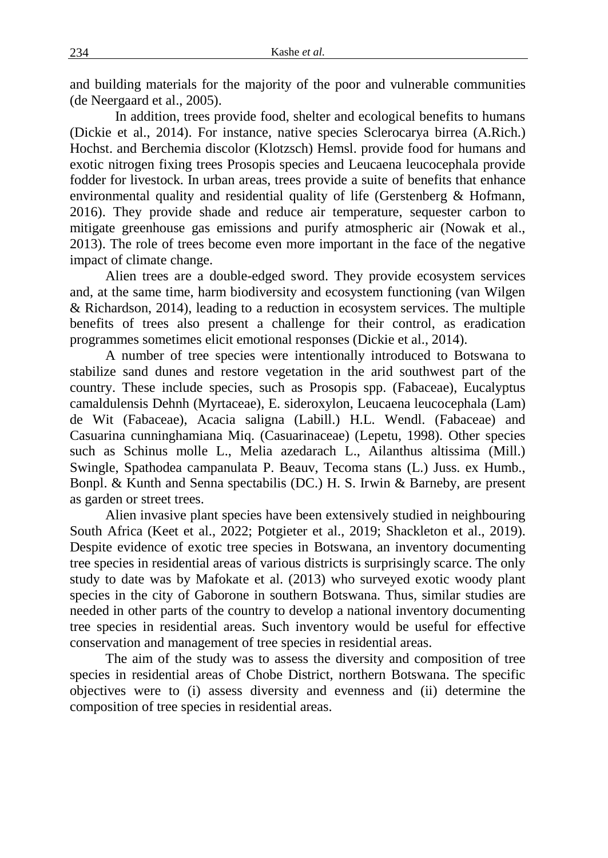and building materials for the majority of the poor and vulnerable communities (de Neergaard et al., 2005).

In addition, trees provide food, shelter and ecological benefits to humans (Dickie et al., 2014). For instance, native species Sclerocarya birrea (A.Rich.) Hochst. and Berchemia discolor (Klotzsch) Hemsl. provide food for humans and exotic nitrogen fixing trees Prosopis species and Leucaena leucocephala provide fodder for livestock. In urban areas, trees provide a suite of benefits that enhance environmental quality and residential quality of life (Gerstenberg & Hofmann, 2016). They provide shade and reduce air temperature, sequester carbon to mitigate greenhouse gas emissions and purify atmospheric air (Nowak et al., 2013). The role of trees become even more important in the face of the negative impact of climate change.

Alien trees are a double-edged sword. They provide ecosystem services and, at the same time, harm biodiversity and ecosystem functioning (van Wilgen & Richardson, 2014), leading to a reduction in ecosystem services. The multiple benefits of trees also present a challenge for their control, as eradication programmes sometimes elicit emotional responses (Dickie et al., 2014).

A number of tree species were intentionally introduced to Botswana to stabilize sand dunes and restore vegetation in the arid southwest part of the country. These include species, such as Prosopis spp. (Fabaceae), Eucalyptus camaldulensis Dehnh (Myrtaceae), E. sideroxylon, Leucaena leucocephala (Lam) de Wit (Fabaceae), Acacia saligna (Labill.) H.L. Wendl. (Fabaceae) and Casuarina cunninghamiana Miq. (Casuarinaceae) (Lepetu, 1998). Other species such as Schinus molle L., Melia azedarach L., Ailanthus altissima (Mill.) Swingle, Spathodea campanulata P. Beauv, Tecoma stans (L.) Juss. ex Humb., Bonpl. & Kunth and Senna spectabilis (DC.) H. S. Irwin & Barneby, are present as garden or street trees.

Alien invasive plant species have been extensively studied in neighbouring South Africa (Keet et al., 2022; Potgieter et al., 2019; Shackleton et al., 2019). Despite evidence of exotic tree species in Botswana, an inventory documenting tree species in residential areas of various districts is surprisingly scarce. The only study to date was by Mafokate et al. (2013) who surveyed exotic woody plant species in the city of Gaborone in southern Botswana. Thus, similar studies are needed in other parts of the country to develop a national inventory documenting tree species in residential areas. Such inventory would be useful for effective conservation and management of tree species in residential areas.

The aim of the study was to assess the diversity and composition of tree species in residential areas of Chobe District, northern Botswana. The specific objectives were to (i) assess diversity and evenness and (ii) determine the composition of tree species in residential areas.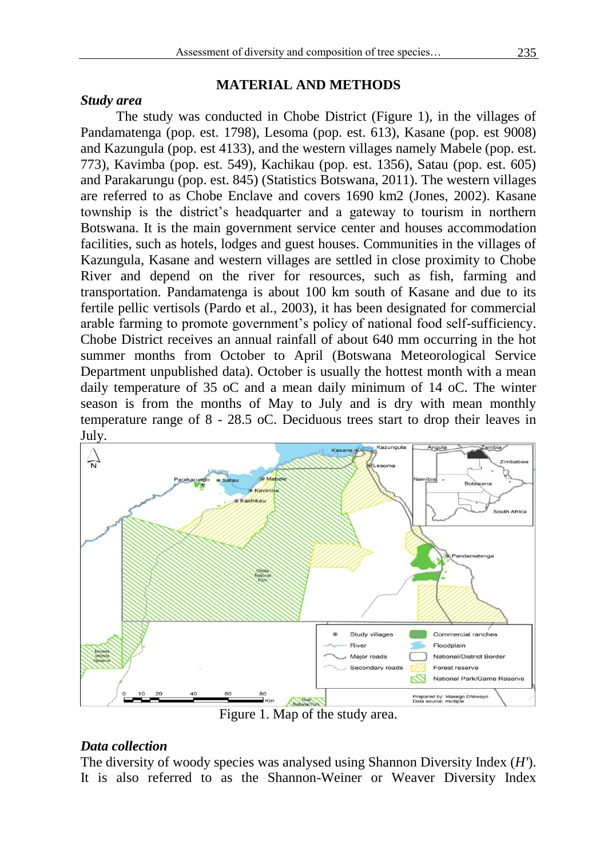#### *Study area*

# **MATERIAL AND METHODS**

The study was conducted in Chobe District (Figure 1), in the villages of Pandamatenga (pop. est. 1798), Lesoma (pop. est. 613), Kasane (pop. est 9008) and Kazungula (pop. est 4133), and the western villages namely Mabele (pop. est. 773), Kavimba (pop. est. 549), Kachikau (pop. est. 1356), Satau (pop. est. 605) and Parakarungu (pop. est. 845) (Statistics Botswana, 2011). The western villages are referred to as Chobe Enclave and covers 1690 km2 (Jones, 2002). Kasane township is the district's headquarter and a gateway to tourism in northern Botswana. It is the main government service center and houses accommodation facilities, such as hotels, lodges and guest houses. Communities in the villages of Kazungula, Kasane and western villages are settled in close proximity to Chobe River and depend on the river for resources, such as fish, farming and transportation. Pandamatenga is about 100 km south of Kasane and due to its fertile pellic vertisols (Pardo et al., 2003), it has been designated for commercial arable farming to promote government's policy of national food self-sufficiency. Chobe District receives an annual rainfall of about 640 mm occurring in the hot summer months from October to April (Botswana Meteorological Service Department unpublished data). October is usually the hottest month with a mean daily temperature of 35 oC and a mean daily minimum of 14 oC. The winter season is from the months of May to July and is dry with mean monthly temperature range of 8 - 28.5 oC. Deciduous trees start to drop their leaves in July.



Figure 1. Map of the study area.

# *Data collection*

The diversity of woody species was analysed using Shannon Diversity Index (*H'*). It is also referred to as the Shannon-Weiner or Weaver Diversity Index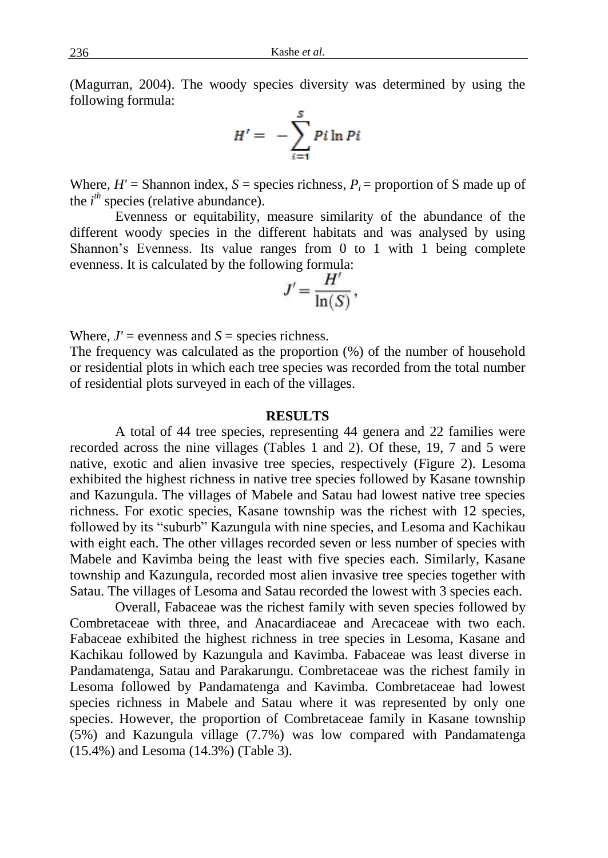(Magurran, 2004). The woody species diversity was determined by using the following formula:

$$
H' = -\sum_{i=1}^{S} Pi \ln Pi
$$

Where,  $H'$  = Shannon index,  $S$  = species richness,  $P_i$  = proportion of S made up of the  $i<sup>th</sup>$  species (relative abundance).

Evenness or equitability, measure similarity of the abundance of the different woody species in the different habitats and was analysed by using Shannon's Evenness. Its value ranges from 0 to 1 with 1 being complete evenness. It is calculated by the following formula:

$$
J'=\frac{H'}{\ln(S)},
$$

Where,  $J'$  = evenness and  $S$  = species richness.

The frequency was calculated as the proportion (%) of the number of household or residential plots in which each tree species was recorded from the total number of residential plots surveyed in each of the villages.

### **RESULTS**

A total of 44 tree species, representing 44 genera and 22 families were recorded across the nine villages (Tables 1 and 2). Of these, 19, 7 and 5 were native, exotic and alien invasive tree species, respectively (Figure 2). Lesoma exhibited the highest richness in native tree species followed by Kasane township and Kazungula. The villages of Mabele and Satau had lowest native tree species richness. For exotic species, Kasane township was the richest with 12 species, followed by its "suburb" Kazungula with nine species, and Lesoma and Kachikau with eight each. The other villages recorded seven or less number of species with Mabele and Kavimba being the least with five species each. Similarly, Kasane township and Kazungula, recorded most alien invasive tree species together with Satau. The villages of Lesoma and Satau recorded the lowest with 3 species each.

Overall, Fabaceae was the richest family with seven species followed by Combretaceae with three, and Anacardiaceae and Arecaceae with two each. Fabaceae exhibited the highest richness in tree species in Lesoma, Kasane and Kachikau followed by Kazungula and Kavimba. Fabaceae was least diverse in Pandamatenga, Satau and Parakarungu. Combretaceae was the richest family in Lesoma followed by Pandamatenga and Kavimba. Combretaceae had lowest species richness in Mabele and Satau where it was represented by only one species. However, the proportion of Combretaceae family in Kasane township (5%) and Kazungula village (7.7%) was low compared with Pandamatenga (15.4%) and Lesoma (14.3%) (Table 3).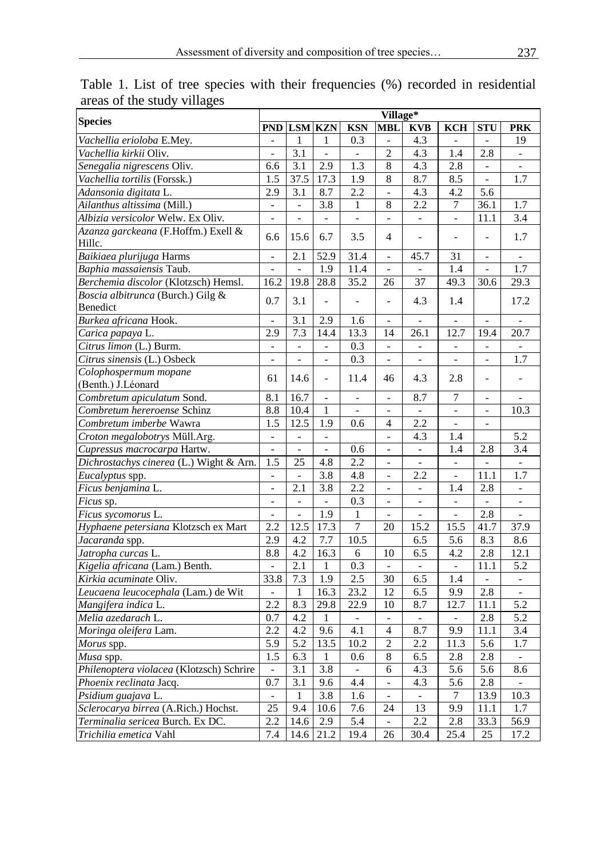| <b>Species</b>                                |                  | Village*                 |                          |                          |                          |                          |                          |                          |                             |  |
|-----------------------------------------------|------------------|--------------------------|--------------------------|--------------------------|--------------------------|--------------------------|--------------------------|--------------------------|-----------------------------|--|
|                                               |                  | <b>PND LSM KZN</b>       |                          | <b>KSN</b>               | <b>MBL</b>               | <b>KVB</b>               | <b>KCH</b>               | <b>STU</b>               | <b>PRK</b>                  |  |
| Vachellia erioloba E.Mey.                     |                  | 1                        | 1                        | 0.3                      |                          | 4.3                      |                          |                          | 19                          |  |
| Vachellia kirkii Oliv.                        | ä,               | 3.1                      | $\sim$                   | $\overline{\phantom{a}}$ | $\mathfrak{2}$           | 4.3                      | 1.4                      | 2.8                      | $\sim$                      |  |
| Senegalia nigrescens Oliv.                    | 6.6              | 3.1                      | 2.9                      | 1.3                      | 8                        | 4.3                      | 2.8                      | $\Box$                   | $\Box$                      |  |
| Vachellia tortilis (Forssk.)                  | 1.5              | 37.5                     | 17.3                     | 1.9                      | 8                        | 8.7                      | 8.5                      | ÷.                       | 1.7                         |  |
| Adansonia digitata L.                         | 2.9              | 3.1                      | 8.7                      | 2.2                      | $\frac{1}{2}$            | 4.3                      | 4.2                      | 5.6                      |                             |  |
| Ailanthus altissima (Mill.)                   | $\equiv$         | $\bar{a}$                | 3.8                      | 1                        | 8                        | 2.2                      | 7                        | 36.1                     | 1.7                         |  |
| Albizia versicolor Welw. Ex Oliv.             | ÷,               | $\overline{a}$           | $\overline{a}$           | $\overline{a}$           | ÷,                       | $\overline{a}$           | $\frac{1}{2}$            | 11.1                     | 3.4                         |  |
| Azanza garckeana (F.Hoffm.) Exell &<br>Hillc. | 6.6              | 15.6                     | 6.7                      | 3.5                      | $\overline{4}$           |                          |                          |                          | 1.7                         |  |
| Baikiaea plurijuga Harms                      | $\overline{a}$   | 2.1                      | 52.9                     | 31.4                     | L.                       | 45.7                     | 31                       | L.                       | $\overline{a}$              |  |
| Baphia massaiensis Taub.                      | L.               |                          | 1.9                      | 11.4                     | L.                       |                          | 1.4                      |                          | 1.7                         |  |
| Berchemia discolor (Klotzsch) Hemsl.          | 16.2             | 19.8                     | 28.8                     | 35.2                     | 26                       | 37                       | 49.3                     | 30.6                     | 29.3                        |  |
| Boscia albitrunca (Burch.) Gilg &             |                  |                          |                          |                          |                          |                          |                          |                          |                             |  |
| Benedict                                      | 0.7              | 3.1                      | $\overline{a}$           | $\frac{1}{2}$            | $\overline{\phantom{a}}$ | 4.3                      | 1.4                      |                          | 17.2                        |  |
| Burkea africana Hook.                         |                  | 3.1                      | 2.9                      | 1.6                      | $\overline{a}$           |                          | $\overline{a}$           |                          |                             |  |
| Carica papaya L.                              | 2.9              | 7.3                      | 14.4                     | 13.3                     | 14                       | 26.1                     | 12.7                     | 19.4                     | 20.7                        |  |
| Citrus limon (L.) Burm.                       |                  |                          | ÷,                       | 0.3                      | ÷,                       |                          |                          |                          |                             |  |
| Citrus sinensis (L.) Osbeck                   | ÷,               | ÷,                       | $\overline{\phantom{a}}$ | 0.3                      | ÷,                       | $\blacksquare$           | $\overline{\phantom{a}}$ | $\overline{\phantom{a}}$ | $\overline{1.7}$            |  |
| Colophospermum mopane                         | 61               | 14.6                     | ÷,                       | 11.4                     | 46                       | 4.3                      | 2.8                      | L.                       | ÷,                          |  |
| (Benth.) J.Léonard                            |                  |                          |                          |                          |                          |                          |                          |                          |                             |  |
| Combretum apiculatum Sond.                    | 8.1              | 16.7                     | $\sim$                   | ÷,                       | $\sim$                   | 8.7                      | 7                        | $\sim$                   |                             |  |
| Combretum hereroense Schinz                   | 8.8              | 10.4                     | $\mathbf{1}$             | $\frac{1}{2}$            | $\overline{\phantom{a}}$ | $\overline{\phantom{a}}$ | $\frac{1}{2}$            | ÷.                       | 10.3                        |  |
| Combretum imberbe Wawra                       | 1.5              | 12.5                     | 1.9                      | 0.6                      | $\overline{4}$           | 2.2                      | ä,                       | $\overline{a}$           |                             |  |
| Croton megalobotrys Müll.Arg.                 | ä,               | $\overline{\phantom{a}}$ | $\mathbb{L}$             |                          | $\overline{\phantom{a}}$ | 4.3                      | 1.4                      |                          | 5.2                         |  |
| Cupressus macrocarpa Hartw.                   | ä,               | ÷,                       | ä,                       | 0.6                      |                          | L,                       | 1.4                      | 2.8                      | 3.4                         |  |
| Dichrostachys cinerea (L.) Wight & Arn.       | 1.5              | 25                       | 4.8                      | 2.2                      | $\overline{\phantom{a}}$ | ÷,                       | $\overline{a}$           | $\overline{a}$           | $\frac{1}{2}$               |  |
| Eucalyptus spp.                               | $\overline{a}$   | $\overline{a}$           | 3.8                      | 4.8                      | ÷,                       | 2.2                      | $\overline{a}$           | 11.1                     | 1.7                         |  |
| Ficus benjamina L.                            | $\overline{a}$   | 2.1                      | 3.8                      | 2.2                      | ÷,                       | $\overline{a}$           | 1.4                      | 2.8                      | $\Box$                      |  |
| Ficus sp.                                     | $\overline{a}$   | $\overline{\phantom{a}}$ | ä,                       | 0.3                      | ÷,                       | ÷,                       | $\blacksquare$           | ÷,                       | $\blacksquare$              |  |
| Ficus sycomorus L.                            |                  |                          | 1.9                      | $\mathbf{1}$             |                          |                          |                          | 2.8                      |                             |  |
| Hyphaene petersiana Klotzsch ex Mart          | $2.\overline{2}$ | 12.5                     | 17.3                     | $\overline{7}$           | 20                       | 15.2                     | 15.5                     | 41.7                     | 37.9                        |  |
| Jacaranda spp.                                | 2.9              | 4.2                      | 7.7                      | 10.5                     |                          | 6.5                      | 5.6                      | 8.3                      | 8.6                         |  |
| Jatropha curcas L.                            | 8.8              | 4.2                      | 16.3                     | 6                        | 10                       | 6.5                      | 4.2                      | 2.8                      | 12.1                        |  |
| Kigelia africana (Lam.) Benth.                | ÷,               | 2.1                      | 1                        | 0.3                      | $\sim$                   | $\omega$                 | $\sim$                   | 11.1                     | 5.2                         |  |
| Kirkia acuminate Oliv.                        | 33.8             | 7.3                      | 1.9                      | 2.5                      | 30                       | 6.5                      | 1.4                      | $\overline{\phantom{a}}$ | ÷.                          |  |
| Leucaena leucocephala (Lam.) de Wit           | $\equiv$         | $\mathbf{1}$             | 16.3                     | 23.2                     | 12                       | 6.5                      | 9.9                      | 2.8                      | $\mathcal{L}_{\mathcal{A}}$ |  |
| Mangifera indica L.                           | 2.2              | 8.3                      | 29.8                     | 22.9                     | 10                       | 8.7                      | 12.7                     | 11.1                     | 5.2                         |  |
| Melia azedarach L.                            | 0.7              | 4.2                      | $\mathbf{1}$             | $\overline{\phantom{a}}$ | $\overline{a}$           | $\overline{\phantom{a}}$ | $\overline{a}$           | 2.8                      | 5.2                         |  |
| Moringa oleifera Lam.                         | 2.2              | 4.2                      | 9.6                      | 4.1                      | $\overline{4}$           | 8.7                      | 9.9                      | 11.1                     | 3.4                         |  |
| Morus spp.                                    | 5.9              | 5.2                      | 13.5                     | 10.2                     | $\overline{2}$           | 2.2                      | 11.3                     | $\overline{5.6}$         | 1.7                         |  |
| Musa spp.                                     | 1.5              | 6.3                      | $\mathbf{1}$             | 0.6                      | 8                        | 6.5                      | 2.8                      | 2.8                      | $\overline{a}$              |  |
| Philenoptera violacea (Klotzsch) Schrire      | $\frac{1}{2}$    | 3.1                      | 3.8                      | $\Box$                   | 6                        | 4.3                      | $\overline{5.6}$         | 5.6                      | 8.6                         |  |
| Phoenix reclinata Jacq.                       | 0.7              | 3.1                      | 9.6                      | 4.4                      | $\overline{a}$           | 4.3                      | 5.6                      | 2.8                      |                             |  |
| Psidium guajava L.                            | $\overline{a}$   | $\mathbf{1}$             | 3.8                      | 1.6                      | $\overline{\phantom{0}}$ | $\overline{a}$           | 7                        | 13.9                     | 10.3                        |  |
| Sclerocarya birrea (A.Rich.) Hochst.          | $\overline{25}$  | 9.4                      | 10.6                     | 7.6                      | 24                       | 13                       | 9.9                      | 11.1                     | 1.7                         |  |
| Terminalia sericea Burch. Ex DC.              | 2.2              | 14.6                     | 2.9                      | 5.4                      | $\frac{1}{2}$            | 2.2                      | 2.8                      | 33.3                     | 56.9                        |  |
| Trichilia emetica Vahl                        | 7.4              | 14.6                     | 21.2                     | 19.4                     | 26                       | 30.4                     | 25.4                     | 25                       | 17.2                        |  |

Table 1. List of tree species with their frequencies (%) recorded in residential areas of the study villages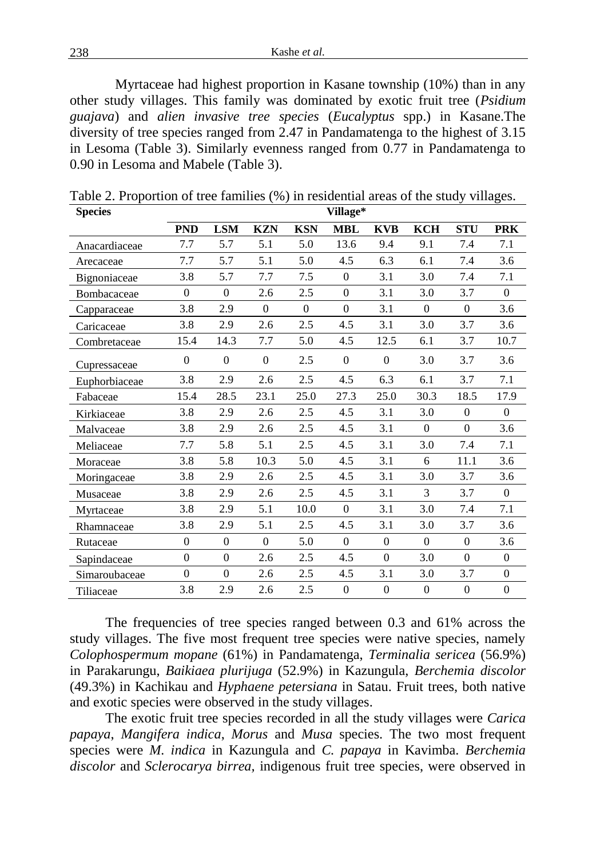Myrtaceae had highest proportion in Kasane township (10%) than in any other study villages. This family was dominated by exotic fruit tree (*Psidium guajava*) and *alien invasive tree species* (*Eucalyptus* spp.) in Kasane.The diversity of tree species ranged from 2.47 in Pandamatenga to the highest of 3.15 in Lesoma (Table 3). Similarly evenness ranged from 0.77 in Pandamatenga to 0.90 in Lesoma and Mabele (Table 3).

| <b>Species</b> | Village*       |                  |              |            |                  |                  |                  |                  |                  |
|----------------|----------------|------------------|--------------|------------|------------------|------------------|------------------|------------------|------------------|
|                | <b>PND</b>     | <b>LSM</b>       | <b>KZN</b>   | <b>KSN</b> | <b>MBL</b>       | <b>KVB</b>       | <b>KCH</b>       | <b>STU</b>       | <b>PRK</b>       |
| Anacardiaceae  | 7.7            | 5.7              | 5.1          | 5.0        | 13.6             | 9.4              | 9.1              | 7.4              | 7.1              |
| Arecaceae      | 7.7            | 5.7              | 5.1          | 5.0        | 4.5              | 6.3              | 6.1              | 7.4              | 3.6              |
| Bignoniaceae   | 3.8            | 5.7              | 7.7          | 7.5        | $\mathbf{0}$     | 3.1              | 3.0              | 7.4              | 7.1              |
| Bombacaceae    | $\mathbf{0}$   | $\mathbf{0}$     | 2.6          | 2.5        | $\mathbf{0}$     | 3.1              | 3.0              | 3.7              | $\theta$         |
| Capparaceae    | 3.8            | 2.9              | $\Omega$     | $\Omega$   | $\Omega$         | 3.1              | $\Omega$         | $\overline{0}$   | 3.6              |
| Caricaceae     | 3.8            | 2.9              | 2.6          | 2.5        | 4.5              | 3.1              | 3.0              | 3.7              | 3.6              |
| Combretaceae   | 15.4           | 14.3             | 7.7          | 5.0        | 4.5              | 12.5             | 6.1              | 3.7              | 10.7             |
| Cupressaceae   | $\overline{0}$ | $\overline{0}$   | $\mathbf{0}$ | 2.5        | $\mathbf{0}$     | $\theta$         | 3.0              | 3.7              | 3.6              |
| Euphorbiaceae  | 3.8            | 2.9              | 2.6          | 2.5        | 4.5              | 6.3              | 6.1              | 3.7              | 7.1              |
| Fabaceae       | 15.4           | 28.5             | 23.1         | 25.0       | 27.3             | 25.0             | 30.3             | 18.5             | 17.9             |
| Kirkiaceae     | 3.8            | 2.9              | 2.6          | 2.5        | 4.5              | 3.1              | 3.0              | $\overline{0}$   | $\theta$         |
| Malvaceae      | 3.8            | 2.9              | 2.6          | 2.5        | 4.5              | 3.1              | $\theta$         | $\overline{0}$   | 3.6              |
| Meliaceae      | 7.7            | 5.8              | 5.1          | 2.5        | 4.5              | 3.1              | 3.0              | 7.4              | 7.1              |
| Moraceae       | 3.8            | 5.8              | 10.3         | 5.0        | 4.5              | 3.1              | 6                | 11.1             | 3.6              |
| Moringaceae    | 3.8            | 2.9              | 2.6          | 2.5        | 4.5              | 3.1              | 3.0              | 3.7              | 3.6              |
| Musaceae       | 3.8            | 2.9              | 2.6          | 2.5        | 4.5              | 3.1              | 3                | 3.7              | $\mathbf{0}$     |
| Myrtaceae      | 3.8            | 2.9              | 5.1          | 10.0       | $\mathbf{0}$     | 3.1              | 3.0              | 7.4              | 7.1              |
| Rhamnaceae     | 3.8            | 2.9              | 5.1          | 2.5        | 4.5              | 3.1              | 3.0              | 3.7              | 3.6              |
| Rutaceae       | $\overline{0}$ | $\boldsymbol{0}$ | $\theta$     | 5.0        | $\mathbf{0}$     | $\boldsymbol{0}$ | $\overline{0}$   | $\overline{0}$   | 3.6              |
| Sapindaceae    | $\overline{0}$ | $\overline{0}$   | 2.6          | 2.5        | 4.5              | $\mathbf{0}$     | 3.0              | $\overline{0}$   | $\theta$         |
| Simaroubaceae  | $\overline{0}$ | $\Omega$         | 2.6          | 2.5        | 4.5              | 3.1              | 3.0              | 3.7              | $\theta$         |
| Tiliaceae      | 3.8            | 2.9              | 2.6          | 2.5        | $\boldsymbol{0}$ | $\boldsymbol{0}$ | $\boldsymbol{0}$ | $\boldsymbol{0}$ | $\boldsymbol{0}$ |

Table 2. Proportion of tree families (%) in residential areas of the study villages.

The frequencies of tree species ranged between 0.3 and 61% across the study villages. The five most frequent tree species were native species, namely *Colophospermum mopane* (61%) in Pandamatenga, *Terminalia sericea* (56.9%) in Parakarungu, *Baikiaea plurijuga* (52.9%) in Kazungula, *Berchemia discolor* (49.3%) in Kachikau and *Hyphaene petersiana* in Satau. Fruit trees, both native and exotic species were observed in the study villages.

The exotic fruit tree species recorded in all the study villages were *Carica papaya*, *Mangifera indica*, *Morus* and *Musa* species. The two most frequent species were *M. indica* in Kazungula and *C. papaya* in Kavimba. *Berchemia discolor* and *Sclerocarya birrea,* indigenous fruit tree species, were observed in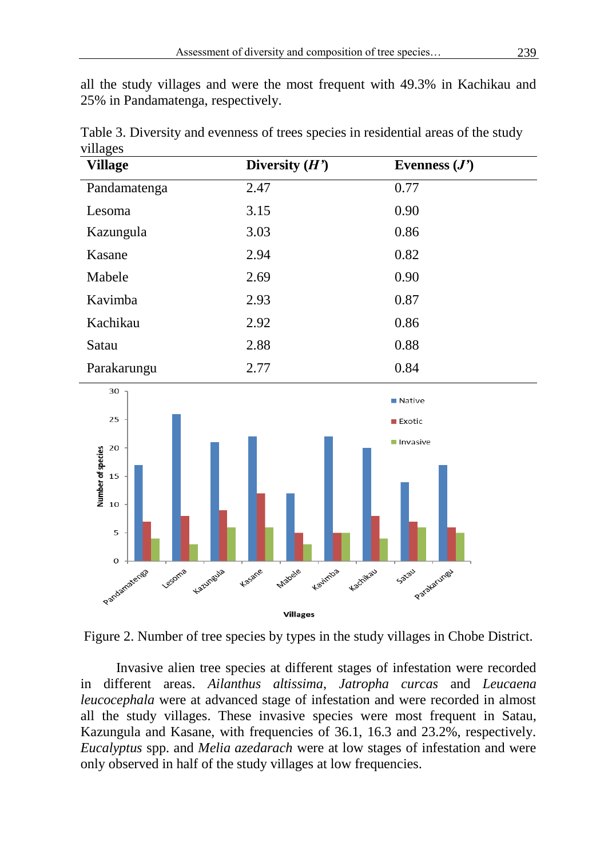all the study villages and were the most frequent with 49.3% in Kachikau and 25% in Pandamatenga, respectively.

| <b>Village</b> | Diversity $(H')$ | Evenness $(J')$ |  |
|----------------|------------------|-----------------|--|
| Pandamatenga   | 2.47             | 0.77            |  |
| Lesoma         | 3.15             | 0.90            |  |
| Kazungula      | 3.03             | 0.86            |  |
| Kasane         | 2.94             | 0.82            |  |
| Mabele         | 2.69             | 0.90            |  |
| Kavimba        | 2.93             | 0.87            |  |
| Kachikau       | 2.92             | 0.86            |  |
| Satau          | 2.88             | 0.88            |  |
| Parakarungu    | 2.77             | 0.84            |  |
| $30 -$         |                  |                 |  |

Table 3. Diversity and evenness of trees species in residential areas of the study villages





Invasive alien tree species at different stages of infestation were recorded in different areas. *Ailanthus altissima*, *Jatropha curcas* and *Leucaena leucocephala* were at advanced stage of infestation and were recorded in almost all the study villages. These invasive species were most frequent in Satau, Kazungula and Kasane, with frequencies of 36.1, 16.3 and 23.2%, respectively. *Eucalyptus* spp. and *Melia azedarach* were at low stages of infestation and were only observed in half of the study villages at low frequencies.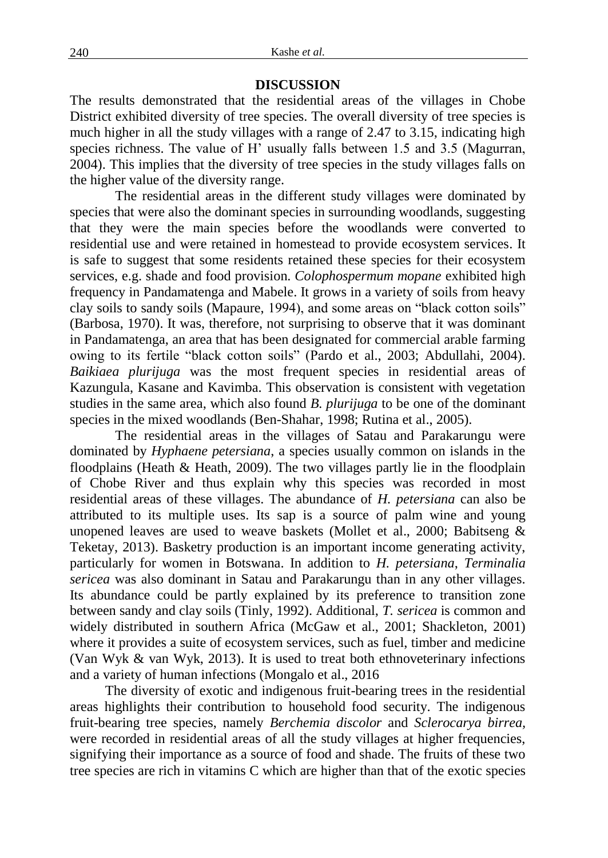# **DISCUSSION**

The results demonstrated that the residential areas of the villages in Chobe District exhibited diversity of tree species. The overall diversity of tree species is much higher in all the study villages with a range of 2.47 to 3.15, indicating high species richness. The value of H' usually falls between 1.5 and 3.5 (Magurran, 2004). This implies that the diversity of tree species in the study villages falls on the higher value of the diversity range.

The residential areas in the different study villages were dominated by species that were also the dominant species in surrounding woodlands, suggesting that they were the main species before the woodlands were converted to residential use and were retained in homestead to provide ecosystem services. It is safe to suggest that some residents retained these species for their ecosystem services, e.g. shade and food provision. *Colophospermum mopane* exhibited high frequency in Pandamatenga and Mabele. It grows in a variety of soils from heavy clay soils to sandy soils (Mapaure, 1994), and some areas on "black cotton soils" (Barbosa, 1970). It was, therefore, not surprising to observe that it was dominant in Pandamatenga, an area that has been designated for commercial arable farming owing to its fertile "black cotton soils" (Pardo et al., 2003; Abdullahi, 2004). *Baikiaea plurijuga* was the most frequent species in residential areas of Kazungula, Kasane and Kavimba. This observation is consistent with vegetation studies in the same area, which also found *B. plurijuga* to be one of the dominant species in the mixed woodlands (Ben-Shahar, 1998; Rutina et al., 2005).

The residential areas in the villages of Satau and Parakarungu were dominated by *Hyphaene petersiana*, a species usually common on islands in the floodplains (Heath & Heath, 2009). The two villages partly lie in the floodplain of Chobe River and thus explain why this species was recorded in most residential areas of these villages. The abundance of *H. petersiana* can also be attributed to its multiple uses. Its sap is a source of palm wine and young unopened leaves are used to weave baskets (Mollet et al., 2000; Babitseng & Teketay, 2013). Basketry production is an important income generating activity, particularly for women in Botswana. In addition to *H. petersiana*, *Terminalia sericea* was also dominant in Satau and Parakarungu than in any other villages. Its abundance could be partly explained by its preference to transition zone between sandy and clay soils (Tinly, 1992). Additional, *T. sericea* is common and widely distributed in southern Africa (McGaw et al., 2001; Shackleton, 2001) where it provides a suite of ecosystem services, such as fuel, timber and medicine (Van Wyk & van Wyk, 2013). It is used to treat both ethnoveterinary infections and a variety of human infections (Mongalo et al., 2016

The diversity of exotic and indigenous fruit-bearing trees in the residential areas highlights their contribution to household food security. The indigenous fruit-bearing tree species, namely *Berchemia discolor* and *Sclerocarya birrea,* were recorded in residential areas of all the study villages at higher frequencies, signifying their importance as a source of food and shade. The fruits of these two tree species are rich in vitamins C which are higher than that of the exotic species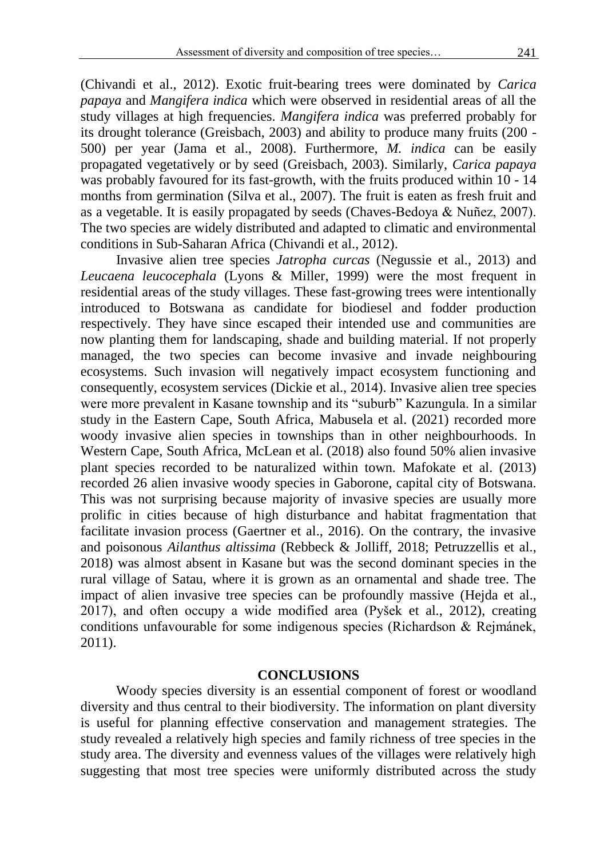(Chivandi et al., 2012). Exotic fruit-bearing trees were dominated by *Carica papaya* and *Mangifera indica* which were observed in residential areas of all the study villages at high frequencies. *Mangifera indica* was preferred probably for its drought tolerance (Greisbach, 2003) and ability to produce many fruits (200 - 500) per year (Jama et al., 2008). Furthermore, *M. indica* can be easily propagated vegetatively or by seed (Greisbach, 2003). Similarly, *Carica papaya* was probably favoured for its fast-growth, with the fruits produced within 10 - 14 months from germination (Silva et al., 2007). The fruit is eaten as fresh fruit and as a vegetable. It is easily propagated by seeds (Chaves-Bedoya & Nuñez, 2007). The two species are widely distributed and adapted to climatic and environmental conditions in Sub-Saharan Africa (Chivandi et al., 2012).

Invasive alien tree species *Jatropha curcas* (Negussie et al., 2013) and *Leucaena leucocephala* (Lyons & Miller, 1999) were the most frequent in residential areas of the study villages. These fast-growing trees were intentionally introduced to Botswana as candidate for biodiesel and fodder production respectively. They have since escaped their intended use and communities are now planting them for landscaping, shade and building material. If not properly managed, the two species can become invasive and invade neighbouring ecosystems. Such invasion will negatively impact ecosystem functioning and consequently, ecosystem services (Dickie et al., 2014). Invasive alien tree species were more prevalent in Kasane township and its "suburb" Kazungula. In a similar study in the Eastern Cape, South Africa, Mabusela et al. (2021) recorded more woody invasive alien species in townships than in other neighbourhoods. In Western Cape, South Africa, McLean et al. (2018) also found 50% alien invasive plant species recorded to be naturalized within town. Mafokate et al. (2013) recorded 26 alien invasive woody species in Gaborone, capital city of Botswana. This was not surprising because majority of invasive species are usually more prolific in cities because of high disturbance and habitat fragmentation that facilitate invasion process (Gaertner et al., 2016). On the contrary, the invasive and poisonous *Ailanthus altissima* (Rebbeck & Jolliff, 2018; Petruzzellis et al., 2018) was almost absent in Kasane but was the second dominant species in the rural village of Satau, where it is grown as an ornamental and shade tree. The impact of alien invasive tree species can be profoundly massive (Hejda et al., 2017), and often occupy a wide modified area (Pyšek et al., 2012), creating conditions unfavourable for some indigenous species (Richardson & Rejmánek, 2011).

#### **CONCLUSIONS**

Woody species diversity is an essential component of forest or woodland diversity and thus central to their biodiversity. The information on plant diversity is useful for planning effective conservation and management strategies. The study revealed a relatively high species and family richness of tree species in the study area. The diversity and evenness values of the villages were relatively high suggesting that most tree species were uniformly distributed across the study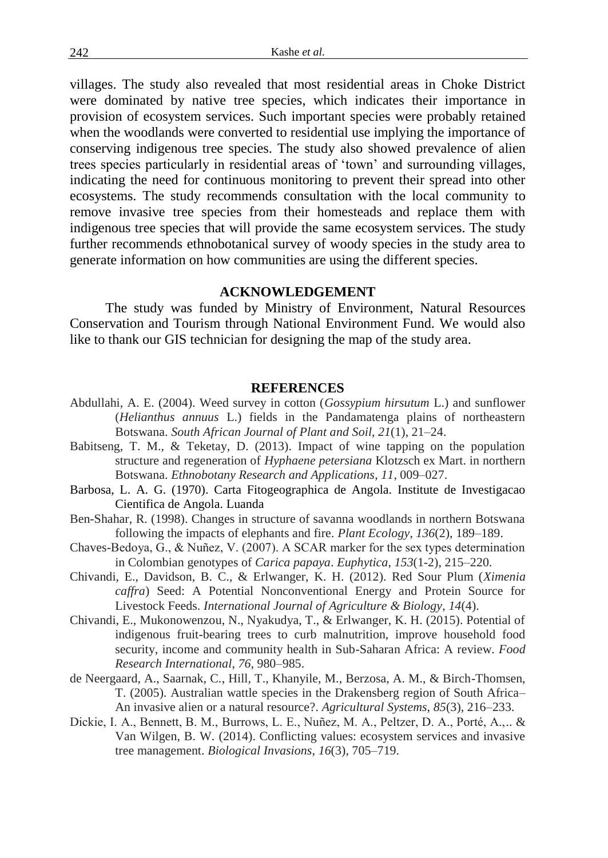villages. The study also revealed that most residential areas in Choke District were dominated by native tree species, which indicates their importance in provision of ecosystem services. Such important species were probably retained when the woodlands were converted to residential use implying the importance of conserving indigenous tree species. The study also showed prevalence of alien trees species particularly in residential areas of 'town' and surrounding villages, indicating the need for continuous monitoring to prevent their spread into other ecosystems. The study recommends consultation with the local community to remove invasive tree species from their homesteads and replace them with indigenous tree species that will provide the same ecosystem services. The study further recommends ethnobotanical survey of woody species in the study area to generate information on how communities are using the different species.

#### **ACKNOWLEDGEMENT**

The study was funded by Ministry of Environment, Natural Resources Conservation and Tourism through National Environment Fund. We would also like to thank our GIS technician for designing the map of the study area.

#### **REFERENCES**

- Abdullahi, A. E. (2004). Weed survey in cotton (*Gossypium hirsutum* L.) and sunflower (*Helianthus annuus* L.) fields in the Pandamatenga plains of northeastern Botswana. *South African Journal of Plant and Soil*, *21*(1), 21–24.
- Babitseng, T. M., & Teketay, D. (2013). Impact of wine tapping on the population structure and regeneration of *Hyphaene petersiana* Klotzsch ex Mart. in northern Botswana. *Ethnobotany Research and Applications*, *11*, 009–027.
- Barbosa, L. A. G. (1970). Carta Fitogeographica de Angola. Institute de Investigacao Cientifica de Angola. Luanda
- Ben-Shahar, R. (1998). Changes in structure of savanna woodlands in northern Botswana following the impacts of elephants and fire. *Plant Ecology*, *136*(2), 189–189.
- Chaves-Bedoya, G., & Nuñez, V. (2007). A SCAR marker for the sex types determination in Colombian genotypes of *Carica papaya*. *Euphytica*, *153*(1-2), 215–220.
- Chivandi, E., Davidson, B. C., & Erlwanger, K. H. (2012). Red Sour Plum (*Ximenia caffra*) Seed: A Potential Nonconventional Energy and Protein Source for Livestock Feeds. *International Journal of Agriculture & Biology*, *14*(4).
- Chivandi, E., Mukonowenzou, N., Nyakudya, T., & Erlwanger, K. H. (2015). Potential of indigenous fruit-bearing trees to curb malnutrition, improve household food security, income and community health in Sub-Saharan Africa: A review. *Food Research International*, *76*, 980–985.
- de Neergaard, A., Saarnak, C., Hill, T., Khanyile, M., Berzosa, A. M., & Birch-Thomsen, T. (2005). Australian wattle species in the Drakensberg region of South Africa– An invasive alien or a natural resource?. *Agricultural Systems*, *85*(3), 216–233.
- Dickie, I. A., Bennett, B. M., Burrows, L. E., Nuñez, M. A., Peltzer, D. A., Porté, A.,.. & Van Wilgen, B. W. (2014). Conflicting values: ecosystem services and invasive tree management. *Biological Invasions*, *16*(3), 705–719.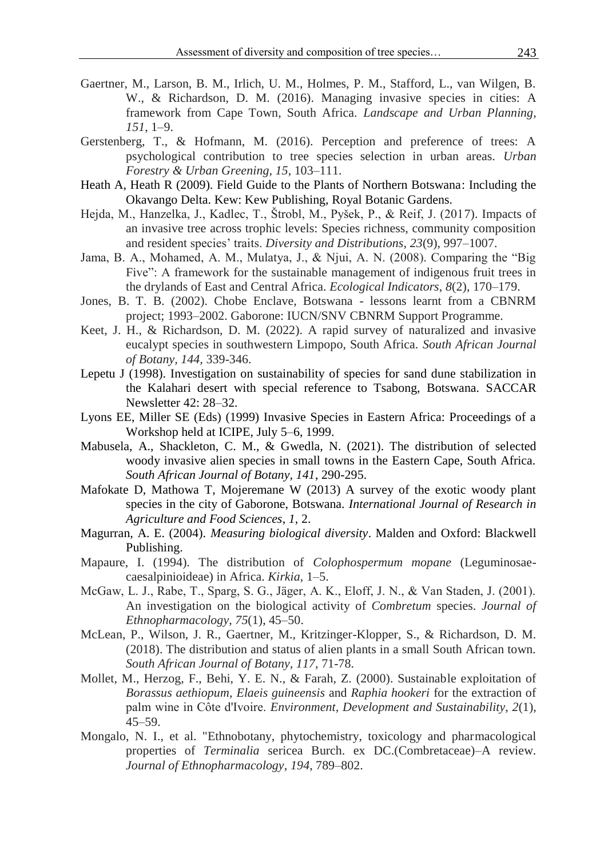- Gaertner, M., Larson, B. M., Irlich, U. M., Holmes, P. M., Stafford, L., van Wilgen, B. W., & Richardson, D. M. (2016). Managing invasive species in cities: A framework from Cape Town, South Africa. *Landscape and Urban Planning*, *151*, 1–9.
- Gerstenberg, T., & Hofmann, M. (2016). Perception and preference of trees: A psychological contribution to tree species selection in urban areas. *Urban Forestry & Urban Greening*, *15*, 103–111.
- Heath A, Heath R (2009). Field Guide to the Plants of Northern Botswana: Including the Okavango Delta. Kew: Kew Publishing, Royal Botanic Gardens.
- Hejda, M., Hanzelka, J., Kadlec, T., Štrobl, M., Pyšek, P., & Reif, J. (2017). Impacts of an invasive tree across trophic levels: Species richness, community composition and resident species' traits. *Diversity and Distributions*, *23*(9), 997–1007.
- Jama, B. A., Mohamed, A. M., Mulatya, J., & Njui, A. N. (2008). Comparing the "Big Five": A framework for the sustainable management of indigenous fruit trees in the drylands of East and Central Africa. *Ecological Indicators*, *8*(2), 170–179.
- Jones, B. T. B. (2002). Chobe Enclave, Botswana lessons learnt from a CBNRM project; 1993–2002. Gaborone: IUCN/SNV CBNRM Support Programme.
- Keet, J. H., & Richardson, D. M. (2022). A rapid survey of naturalized and invasive eucalypt species in southwestern Limpopo, South Africa. *South African Journal of Botany, 144,* 339-346.
- Lepetu J (1998). Investigation on sustainability of species for sand dune stabilization in the Kalahari desert with special reference to Tsabong, Botswana. SACCAR Newsletter 42: 28–32.
- Lyons EE, Miller SE (Eds) (1999) Invasive Species in Eastern Africa: Proceedings of a Workshop held at ICIPE, July 5–6, 1999.
- Mabusela, A., Shackleton, C. M., & Gwedla, N. (2021). The distribution of selected woody invasive alien species in small towns in the Eastern Cape, South Africa. *South African Journal of Botany, 141*, 290-295.
- Mafokate D, Mathowa T, Mojeremane W (2013) A survey of the exotic woody plant species in the city of Gaborone, Botswana. *International Journal of Research in Agriculture and Food Sciences*, *1*, 2.
- Magurran, A. E. (2004). *Measuring biological diversity*. Malden and Oxford: Blackwell Publishing.
- Mapaure, I. (1994). The distribution of *Colophospermum mopane* (Leguminosaecaesalpinioideae) in Africa. *Kirkia*, 1–5.
- McGaw, L. J., Rabe, T., Sparg, S. G., Jäger, A. K., Eloff, J. N., & Van Staden, J. (2001). An investigation on the biological activity of *Combretum* species. *Journal of Ethnopharmacology*, *75*(1), 45–50.
- McLean, P., Wilson, J. R., Gaertner, M., Kritzinger-Klopper, S., & Richardson, D. M. (2018). The distribution and status of alien plants in a small South African town. *South African Journal of Botany, 117,* 71-78.
- Mollet, M., Herzog, F., Behi, Y. E. N., & Farah, Z. (2000). Sustainable exploitation of *Borassus aethiopum*, *Elaeis guineensis* and *Raphia hookeri* for the extraction of palm wine in Côte d'Ivoire. *Environment, Development and Sustainability*, *2*(1), 45–59.
- Mongalo, N. I., et al. "Ethnobotany, phytochemistry, toxicology and pharmacological properties of *Terminalia* sericea Burch. ex DC.(Combretaceae)–A review. *Journal of Ethnopharmacology*, *194*, 789–802.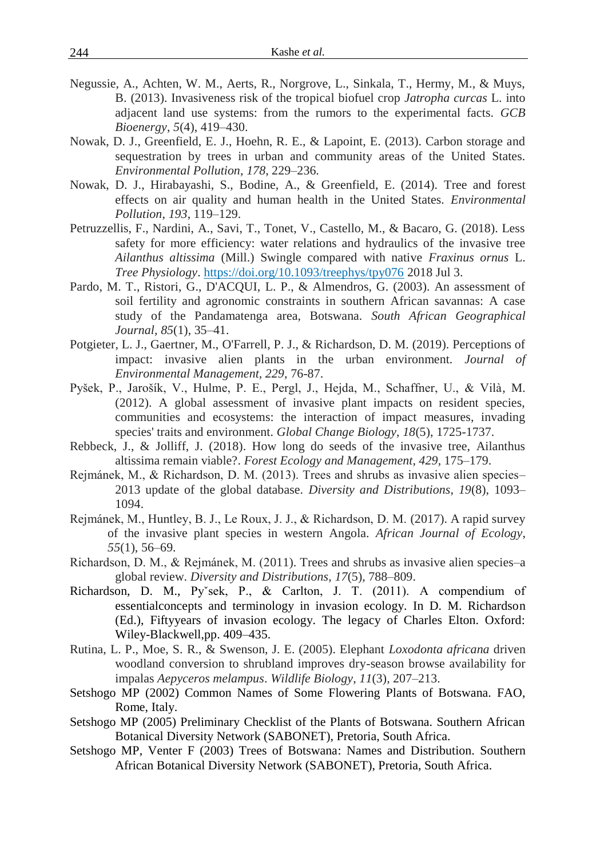- Negussie, A., Achten, W. M., Aerts, R., Norgrove, L., Sinkala, T., Hermy, M., & Muys, B. (2013). Invasiveness risk of the tropical biofuel crop *Jatropha curcas* L. into adjacent land use systems: from the rumors to the experimental facts. *GCB Bioenergy*, *5*(4), 419–430.
- Nowak, D. J., Greenfield, E. J., Hoehn, R. E., & Lapoint, E. (2013). Carbon storage and sequestration by trees in urban and community areas of the United States. *Environmental Pollution*, *178*, 229–236.
- Nowak, D. J., Hirabayashi, S., Bodine, A., & Greenfield, E. (2014). Tree and forest effects on air quality and human health in the United States. *Environmental Pollution*, *193*, 119–129.
- Petruzzellis, F., Nardini, A., Savi, T., Tonet, V., Castello, M., & Bacaro, G. (2018). Less safety for more efficiency: water relations and hydraulics of the invasive tree *Ailanthus altissima* (Mill.) Swingle compared with native *Fraxinus ornus* L. *Tree Physiology*[. https://doi.org/10.1093/treephys/tpy076](https://doi.org/10.1093/treephys/tpy076) 2018 Jul 3.
- Pardo, M. T., Ristori, G., D'ACQUI, L. P., & Almendros, G. (2003). An assessment of soil fertility and agronomic constraints in southern African savannas: A case study of the Pandamatenga area, Botswana. *South African Geographical Journal*, *85*(1), 35–41.
- Potgieter, L. J., Gaertner, M., O'Farrell, P. J., & Richardson, D. M. (2019). Perceptions of impact: invasive alien plants in the urban environment. *Journal of Environmental Management, 229,* 76-87.
- Pyšek, P., Jarošík, V., Hulme, P. E., Pergl, J., Hejda, M., Schaffner, U., & Vilà, M. (2012). A global assessment of invasive plant impacts on resident species, communities and ecosystems: the interaction of impact measures, invading species' traits and environment. *Global Change Biology, 18*(5), 1725-1737.
- Rebbeck, J., & Jolliff, J. (2018). How long do seeds of the invasive tree, Ailanthus altissima remain viable?. *Forest Ecology and Management*, *429*, 175–179.
- Rejmánek, M., & Richardson, D. M. (2013). Trees and shrubs as invasive alien species– 2013 update of the global database. *Diversity and Distributions*, *19*(8), 1093– 1094.
- Rejmánek, M., Huntley, B. J., Le Roux, J. J., & Richardson, D. M. (2017). A rapid survey of the invasive plant species in western Angola. *African Journal of Ecology*, *55*(1), 56–69.
- Richardson, D. M., & Rejmánek, M. (2011). Trees and shrubs as invasive alien species–a global review. *Diversity and Distributions*, *17*(5), 788–809.
- Richardson, D. M., Pyˇsek, P., & Carlton, J. T. (2011). A compendium of essentialconcepts and terminology in invasion ecology. In D. M. Richardson (Ed.), Fiftyyears of invasion ecology. The legacy of Charles Elton. Oxford: Wiley-Blackwell,pp. 409–435.
- Rutina, L. P., Moe, S. R., & Swenson, J. E. (2005). Elephant *Loxodonta africana* driven woodland conversion to shrubland improves dry-season browse availability for impalas *Aepyceros melampus*. *Wildlife Biology*, *11*(3), 207–213.
- Setshogo MP (2002) Common Names of Some Flowering Plants of Botswana. FAO, Rome, Italy.
- Setshogo MP (2005) Preliminary Checklist of the Plants of Botswana. Southern African Botanical Diversity Network (SABONET), Pretoria, South Africa.
- Setshogo MP, Venter F (2003) Trees of Botswana: Names and Distribution. Southern African Botanical Diversity Network (SABONET), Pretoria, South Africa.